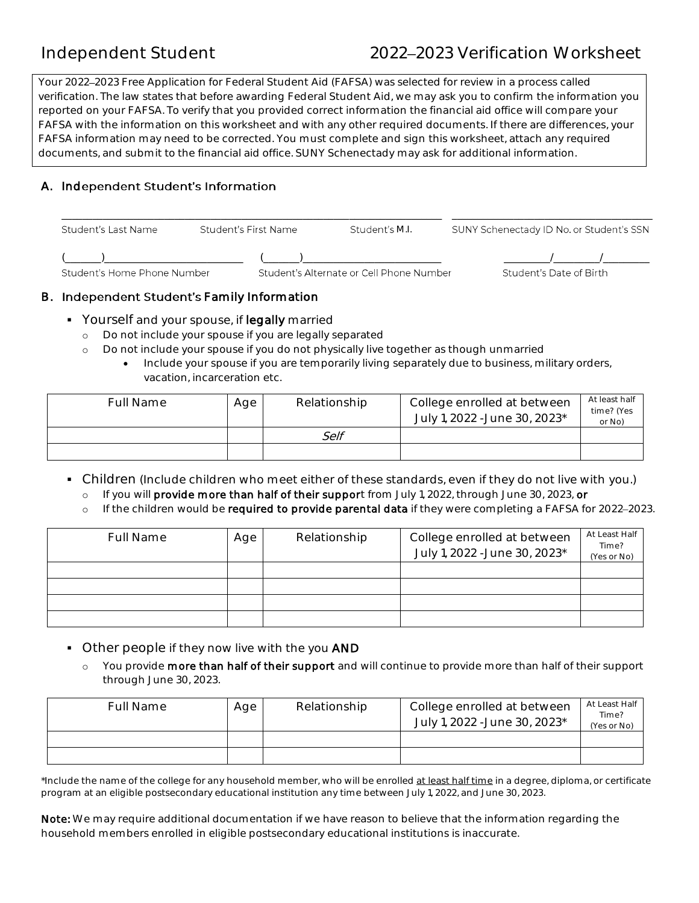# Independent Student 2022 2023 Verification Worksheet

Your 2022 2023 Free Application for Federal Student Aid (FAFSA) was selected for review in a process called verification. The law states that before awarding Federal Student Aid, we may ask you to confirm the information you reported on your FAFSA. To verify that you provided correct information the financial aid office will compare your FAFSA with the information on this worksheet and with any other required documents. If there are differences, your FAFSA information may need to be corrected. You must complete and sign this worksheet, attach any required documents, and submit to the financial aid office. SUNY Schenectady may ask for additional information.

## **ependent Student's Information**  A. Ind

| Student's Last Name         | Student's First Name | Student's M.I.                           | SUNY Schenectady ID No. or Student's SSN |
|-----------------------------|----------------------|------------------------------------------|------------------------------------------|
| Student's Home Phone Number |                      | Student's Alternate or Cell Phone Number | Student's Date of Birth                  |

## **B.** Independent Student's Family Information

- Yourself and your spouse, if legally married
	- o Do not include your spouse if you are legally separated
	- o Do not include your spouse if you do not physically live together as though unmarried
		- Include your spouse if you are temporarily living separately due to business, military orders, vacation, incarceration etc.

| <b>Full Name</b> | Age | Relationship | College enrolled at between<br>July 1, 2022 - June 30, 2023* | At least half<br>time? (Yes<br>or No) |
|------------------|-----|--------------|--------------------------------------------------------------|---------------------------------------|
|                  |     | Self         |                                                              |                                       |
|                  |     |              |                                                              |                                       |

- Children (Include children who meet either of these standards, even if they do not live with you.)
	- o If you will **provide more than half of their suppor**t from July 1, 2022, through June 30, 2023, **or**
	- o If the children would be **required to provide parental data** if they were completing a FAFSA for 2022–2023.

| <b>Full Name</b> | Age | Relationship | College enrolled at between<br>July 1, 2022 - June 30, 2023* | At Least Half<br>Time?<br>(Yes or No) |
|------------------|-----|--------------|--------------------------------------------------------------|---------------------------------------|
|                  |     |              |                                                              |                                       |
|                  |     |              |                                                              |                                       |
|                  |     |              |                                                              |                                       |
|                  |     |              |                                                              |                                       |

- **Other people if they now live with the you AND** 
	- o You provide more than half of their support and will continue to provide more than half of their support through June 30, 2023.

| Full Name | Age | Relationship | College enrolled at between<br>July 1, 2022 - June 30, 2023* | At Least Half<br>Time?<br>(Yes or No) |
|-----------|-----|--------------|--------------------------------------------------------------|---------------------------------------|
|           |     |              |                                                              |                                       |
|           |     |              |                                                              |                                       |

\*Include the name of the college for any household member, who will be enrolled <u>at least half time</u> in a degree, diploma, or certificate program at an eligible postsecondary educational institution any time between July 1, 2022, and June 30, 2023.

**Note:** We may require additional documentation if we have reason to believe that the information regarding the household members enrolled in eligible postsecondary educational institutions is inaccurate.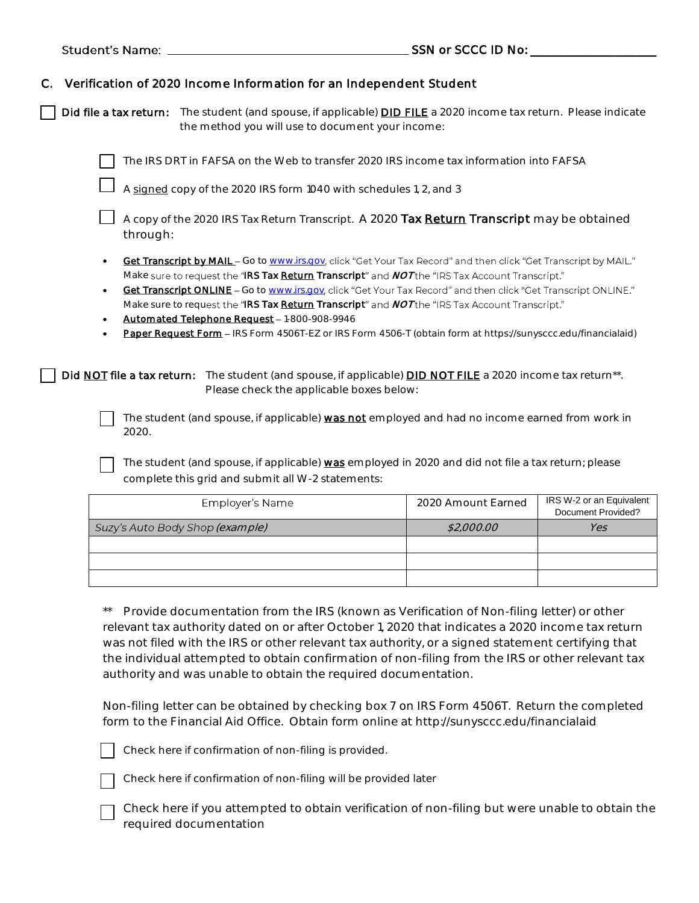|    |                                          |                                                                                                                                                                                                                                                                                                                                                                                                                                                                                                                                                                                                        | $SSN$ or SCCC ID No: $\_\_$ |                                                |
|----|------------------------------------------|--------------------------------------------------------------------------------------------------------------------------------------------------------------------------------------------------------------------------------------------------------------------------------------------------------------------------------------------------------------------------------------------------------------------------------------------------------------------------------------------------------------------------------------------------------------------------------------------------------|-----------------------------|------------------------------------------------|
| C. |                                          | Verification of 2020 Income Information for an Independent Student<br>Did file a tax return: The student (and spouse, if applicable) <b>DID FILE</b> a 2020 income tax return. Please indicate<br>the method you will use to document your income:                                                                                                                                                                                                                                                                                                                                                     |                             |                                                |
|    |                                          | The IRS DRT in FAFSA on the Web to transfer 2020 IRS income tax information into FAFSA<br>A signed copy of the 2020 IRS form 1040 with schedules 1, 2, and 3                                                                                                                                                                                                                                                                                                                                                                                                                                           |                             |                                                |
|    | through:                                 | A copy of the 2020 IRS Tax Return Transcript. A 2020 Tax Return Transcript may be obtained                                                                                                                                                                                                                                                                                                                                                                                                                                                                                                             |                             |                                                |
|    | $\bullet$<br>$\bullet$<br>$\bullet$<br>٠ | Get Transcript by MAIL - Go to www.irs.gov, click "Get Your Tax Record" and then click "Get Transcript by MAIL."<br>Make sure to request the "IRS Tax Return Transcript" and NOT the "IRS Tax Account Transcript."<br>Get Transcript ONLINE - Go to www.irs.gov, click "Get Your Tax Record" and then click "Get Transcript ONLINE."<br>Make sure to request the "IRS Tax Return Transcript" and NOT the "IRS Tax Account Transcript."<br>Automated Telephone Request - 1-800-908-9946<br>Paper Request Form - IRS Form 4506T-EZ or IRS Form 4506-T (obtain form at https://sunysccc.edu/financialaid) |                             |                                                |
|    | Did NOT file a tax return:               | The student (and spouse, if applicable) <b>DID NOT FILE</b> a 2020 income tax return <sup>**</sup> .<br>Please check the applicable boxes below:                                                                                                                                                                                                                                                                                                                                                                                                                                                       |                             |                                                |
|    | 2020.                                    | The student (and spouse, if applicable) was not employed and had no income earned from work in                                                                                                                                                                                                                                                                                                                                                                                                                                                                                                         |                             |                                                |
|    |                                          | The student (and spouse, if applicable) was employed in 2020 and did not file a tax return; please<br>complete this grid and submit all W-2 statements:                                                                                                                                                                                                                                                                                                                                                                                                                                                |                             |                                                |
|    |                                          | Employer's Name                                                                                                                                                                                                                                                                                                                                                                                                                                                                                                                                                                                        | 2020 Amount Earned          | IRS W-2 or an Equivalent<br>Dooumont Drovidad? |

| Employer's Name                 | 2020 Amount Earned | IRS W-2 or an Equivalent<br>Document Provided? |
|---------------------------------|--------------------|------------------------------------------------|
| Suzy's Auto Body Shop (example) | \$2,000.00         | Yes                                            |
|                                 |                    |                                                |
|                                 |                    |                                                |
|                                 |                    |                                                |

 \*\* Provide documentation from the IRS (known as Verification of Non-filing letter) or other relevant tax authority dated on or after October 1, 2020 that indicates a 2020 income tax return was not filed with the IRS or other relevant tax authority, or a signed statement certifying that the individual attempted to obtain confirmation of non-filing from the IRS or other relevant tax authority and was unable to obtain the required documentation.

 Non-filing letter can be obtained by checking box 7 on IRS Form 4506T. Return the completed form to the Financial Aid Office. Obtain form online at [http://sunysccc.edu/financiala](http://sunysccc.edu/financial)id



Check here if confirmation of non-filing is provided.



□

Check here if confirmation of non-filing will be provided later

□ required documentation Check here if you attempted to obtain verification of non-filing but were unable to obtain the